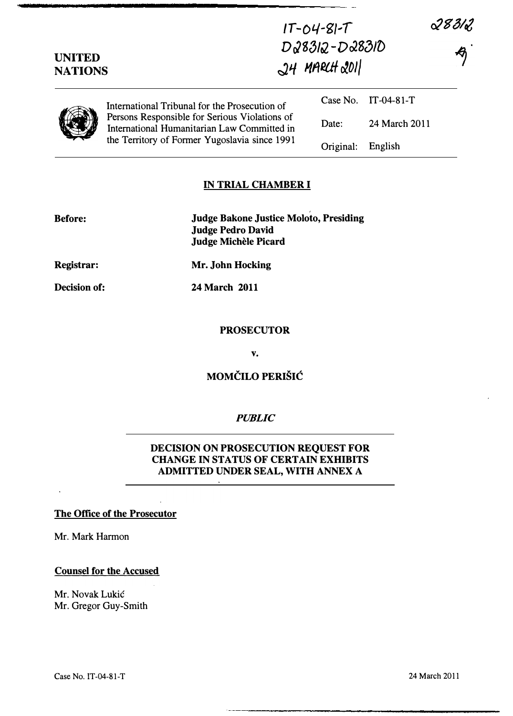| <b>UNITED</b><br><b>NATIONS</b> |                                                                                                                                                                                                | $1T - 04 - 81 - T$<br>D28312-D28310<br>$24$ MARLH 2011 |                     |  | 28312 |
|---------------------------------|------------------------------------------------------------------------------------------------------------------------------------------------------------------------------------------------|--------------------------------------------------------|---------------------|--|-------|
|                                 | International Tribunal for the Prosecution of<br>Persons Responsible for Serious Violations of<br>International Humanitarian Law Committed in<br>the Territory of Former Yugoslavia since 1991 |                                                        | Case No. IT-04-81-T |  |       |
|                                 |                                                                                                                                                                                                | Date:                                                  | 24 March 2011       |  |       |
|                                 |                                                                                                                                                                                                | Original:                                              | English             |  |       |

## IN TRIAL CHAMBER I

| <b>Before:</b>      | <b>Judge Bakone Justice Moloto, Presiding</b><br><b>Judge Pedro David</b><br><b>Judge Michèle Picard</b> |
|---------------------|----------------------------------------------------------------------------------------------------------|
| <b>Registrar:</b>   | Mr. John Hocking                                                                                         |
| <b>Decision of:</b> | <b>24 March 2011</b>                                                                                     |

#### PROSECUTOR

v.

# MOMČILO PERIŠIĆ

## PUBLIC

## DECISION ON PROSECUTION REQUEST FOR CHANGE IN STATUS OF CERTAIN EXHIBITS ADMITTED UNDER SEAL, WITH ANNEX A

#### The Office of the Prosecutor

Mr. Mark Harmon

#### Counsel for the Accused

Mr. Novak Lukic Mr. Gregor Guy-Smith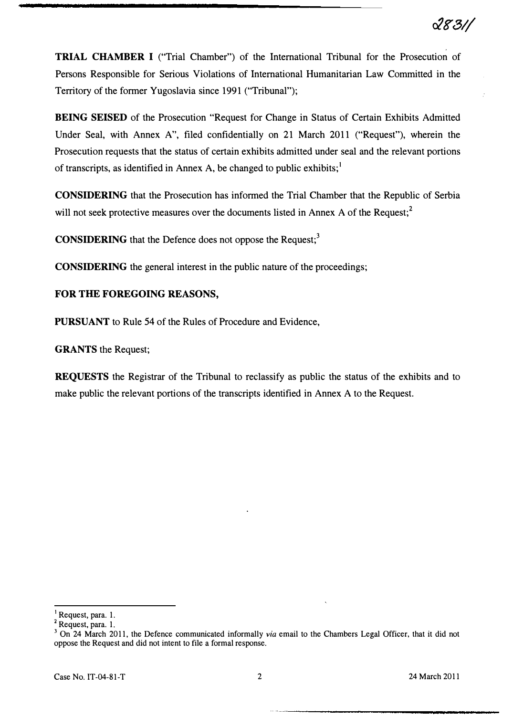TRIAL CHAMBER I ("Trial Chamber") of the International Tribunal for the Prosecution of Persons Responsible for Serious Violations of International Humanitarian Law Committed in the Territory of the former Yugoslavia since 1991 ("Tribunal");

BEING SEISED of the Prosecution "Request for Change in Status of Certain Exhibits Admitted Under Seal, with Annex A", filed confidentially on 21 March 2011 ("Request"), wherein the Prosecution requests that the status of certain exhibits admitted under seal and the relevant portions of transcripts, as identified in Annex A, be changed to public exhibits;<sup>1</sup>

CONSIDERING that the Prosecution has informed the Trial Chamber that the Republic of Serbia will not seek protective measures over the documents listed in Annex A of the Request;<sup>2</sup>

**CONSIDERING** that the Defence does not oppose the Request;<sup>3</sup>

CONSIDERING the general interest in the public nature of the proceedings;

# FOR THE FOREGOING REASONS,

PURSUANT to Rule 54 of the Rules of Procedure and Evidence,

GRANTS the Request;

REQUESTS the Registrar of the Tribunal to reclassify as public the status of the exhibits and to make public the relevant portions of the transcripts identified in Annex A to the Request.

<sup>1</sup>Request, para. 1.

<sup>&</sup>lt;sup>2</sup> Request, para. 1.

<sup>&</sup>lt;sup>3</sup> On 24 March 2011, the Defence communicated informally via email to the Chambers Legal Officer, that it did not oppose the Request and did not intent to file a formal response.